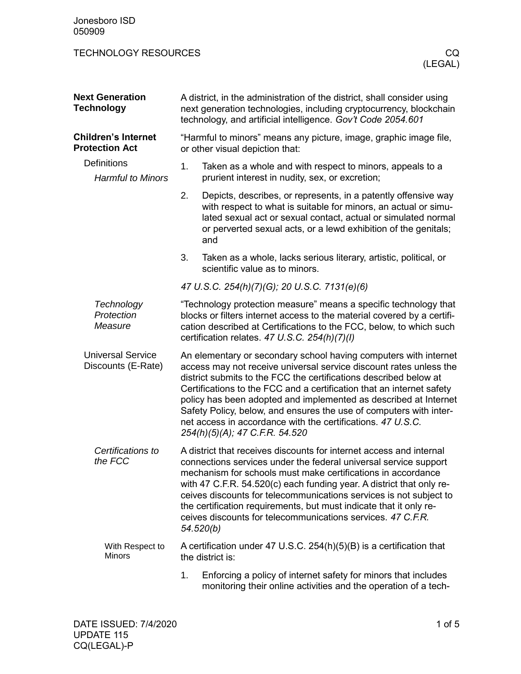| Jonesboro ISD<br>050909                                                                               |                                                                                                                                                                                                                                                                                                                                                                                                                                                                                                                                 |                                                                                                                                                                                                                                                                               |
|-------------------------------------------------------------------------------------------------------|---------------------------------------------------------------------------------------------------------------------------------------------------------------------------------------------------------------------------------------------------------------------------------------------------------------------------------------------------------------------------------------------------------------------------------------------------------------------------------------------------------------------------------|-------------------------------------------------------------------------------------------------------------------------------------------------------------------------------------------------------------------------------------------------------------------------------|
| <b>TECHNOLOGY RESOURCES</b>                                                                           |                                                                                                                                                                                                                                                                                                                                                                                                                                                                                                                                 | CQ.<br>(LEGAL)                                                                                                                                                                                                                                                                |
| <b>Next Generation</b><br><b>Technology</b>                                                           | A district, in the administration of the district, shall consider using<br>next generation technologies, including cryptocurrency, blockchain<br>technology, and artificial intelligence. Gov't Code 2054.601                                                                                                                                                                                                                                                                                                                   |                                                                                                                                                                                                                                                                               |
| <b>Children's Internet</b><br><b>Protection Act</b><br><b>Definitions</b><br><b>Harmful to Minors</b> |                                                                                                                                                                                                                                                                                                                                                                                                                                                                                                                                 | "Harmful to minors" means any picture, image, graphic image file,<br>or other visual depiction that:                                                                                                                                                                          |
|                                                                                                       | 1.                                                                                                                                                                                                                                                                                                                                                                                                                                                                                                                              | Taken as a whole and with respect to minors, appeals to a<br>prurient interest in nudity, sex, or excretion;                                                                                                                                                                  |
|                                                                                                       | 2.                                                                                                                                                                                                                                                                                                                                                                                                                                                                                                                              | Depicts, describes, or represents, in a patently offensive way<br>with respect to what is suitable for minors, an actual or simu-<br>lated sexual act or sexual contact, actual or simulated normal<br>or perverted sexual acts, or a lewd exhibition of the genitals;<br>and |
|                                                                                                       | 3.                                                                                                                                                                                                                                                                                                                                                                                                                                                                                                                              | Taken as a whole, lacks serious literary, artistic, political, or<br>scientific value as to minors.                                                                                                                                                                           |
|                                                                                                       |                                                                                                                                                                                                                                                                                                                                                                                                                                                                                                                                 | 47 U.S.C. 254(h)(7)(G); 20 U.S.C. 7131(e)(6)                                                                                                                                                                                                                                  |
| Technology<br>Protection<br>Measure                                                                   |                                                                                                                                                                                                                                                                                                                                                                                                                                                                                                                                 | "Technology protection measure" means a specific technology that<br>blocks or filters internet access to the material covered by a certifi-<br>cation described at Certifications to the FCC, below, to which such<br>certification relates. 47 U.S.C. 254(h)(7)(l)           |
| <b>Universal Service</b><br>Discounts (E-Rate)                                                        | An elementary or secondary school having computers with internet<br>access may not receive universal service discount rates unless the<br>district submits to the FCC the certifications described below at<br>Certifications to the FCC and a certification that an internet safety<br>policy has been adopted and implemented as described at Internet<br>Safety Policy, below, and ensures the use of computers with inter-<br>net access in accordance with the certifications. 47 U.S.C.<br>254(h)(5)(A); 47 C.F.R. 54.520 |                                                                                                                                                                                                                                                                               |
| Certifications to<br>the FCC                                                                          | A district that receives discounts for internet access and internal<br>connections services under the federal universal service support<br>mechanism for schools must make certifications in accordance<br>with 47 C.F.R. 54.520(c) each funding year. A district that only re-<br>ceives discounts for telecommunications services is not subject to<br>the certification requirements, but must indicate that it only re-<br>ceives discounts for telecommunications services, 47 C.F.R.<br>54.520(b)                         |                                                                                                                                                                                                                                                                               |
| With Respect to<br><b>Minors</b>                                                                      |                                                                                                                                                                                                                                                                                                                                                                                                                                                                                                                                 | A certification under 47 U.S.C. 254(h)(5)(B) is a certification that<br>the district is:                                                                                                                                                                                      |
|                                                                                                       | 1.                                                                                                                                                                                                                                                                                                                                                                                                                                                                                                                              | Enforcing a policy of internet safety for minors that includes<br>monitoring their online activities and the operation of a tech-                                                                                                                                             |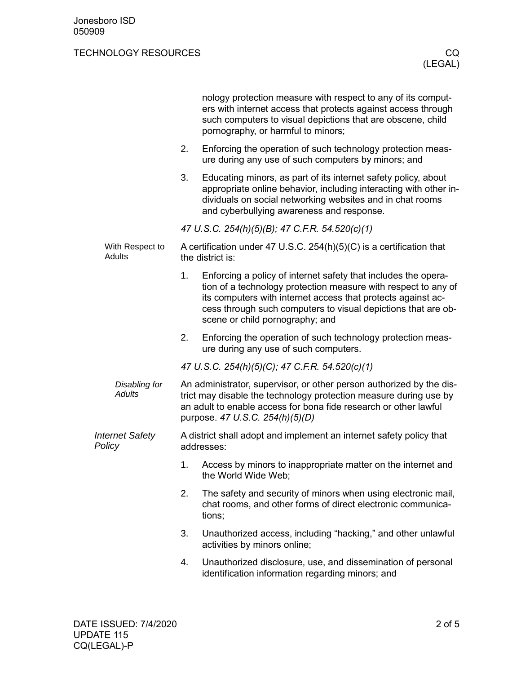## TECHNOLOGY RESOURCES CO.

|                                  |    | nology protection measure with respect to any of its comput-<br>ers with internet access that protects against access through<br>such computers to visual depictions that are obscene, child<br>pornography, or harmful to minors;                                                                   |  |
|----------------------------------|----|------------------------------------------------------------------------------------------------------------------------------------------------------------------------------------------------------------------------------------------------------------------------------------------------------|--|
|                                  | 2. | Enforcing the operation of such technology protection meas-<br>ure during any use of such computers by minors; and                                                                                                                                                                                   |  |
|                                  | 3. | Educating minors, as part of its internet safety policy, about<br>appropriate online behavior, including interacting with other in-<br>dividuals on social networking websites and in chat rooms<br>and cyberbullying awareness and response.                                                        |  |
|                                  |    | 47 U.S.C. 254(h)(5)(B); 47 C.F.R. 54.520(c)(1)                                                                                                                                                                                                                                                       |  |
| With Respect to<br>Adults        |    | A certification under 47 U.S.C. 254(h)(5)(C) is a certification that<br>the district is:                                                                                                                                                                                                             |  |
|                                  | 1. | Enforcing a policy of internet safety that includes the opera-<br>tion of a technology protection measure with respect to any of<br>its computers with internet access that protects against ac-<br>cess through such computers to visual depictions that are ob-<br>scene or child pornography; and |  |
|                                  | 2. | Enforcing the operation of such technology protection meas-<br>ure during any use of such computers.                                                                                                                                                                                                 |  |
|                                  |    | 47 U.S.C. 254(h)(5)(C); 47 C.F.R. 54.520(c)(1)                                                                                                                                                                                                                                                       |  |
| Disabling for<br>Adults          |    | An administrator, supervisor, or other person authorized by the dis-<br>trict may disable the technology protection measure during use by<br>an adult to enable access for bona fide research or other lawful<br>purpose. 47 U.S.C. 254(h)(5)(D)                                                     |  |
| <b>Internet Safety</b><br>Policy |    | A district shall adopt and implement an internet safety policy that<br>addresses:                                                                                                                                                                                                                    |  |
|                                  | 1. | Access by minors to inappropriate matter on the internet and<br>the World Wide Web;                                                                                                                                                                                                                  |  |
|                                  | 2. | The safety and security of minors when using electronic mail,<br>chat rooms, and other forms of direct electronic communica-<br>tions;                                                                                                                                                               |  |
|                                  | 3. | Unauthorized access, including "hacking," and other unlawful<br>activities by minors online;                                                                                                                                                                                                         |  |
|                                  | 4. | Unauthorized disclosure, use, and dissemination of personal<br>identification information regarding minors; and                                                                                                                                                                                      |  |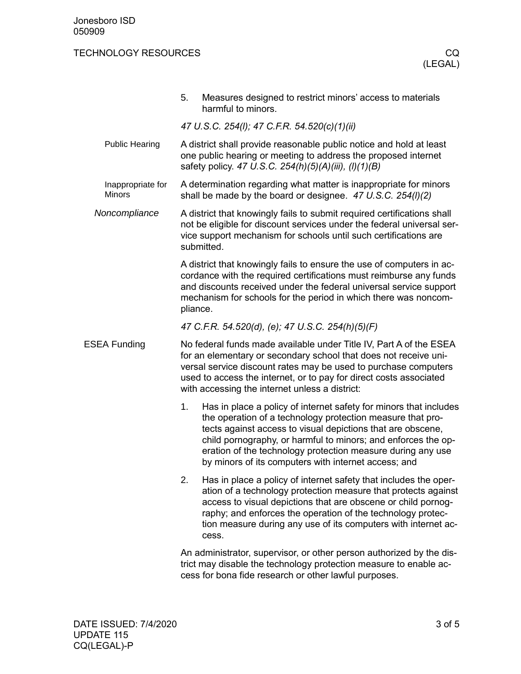## TECHNOLOGY RESOURCES CO.

|                                    | Measures designed to restrict minors' access to materials<br>5.<br>harmful to minors.                                                                                                                                                                                                                                                                                                        |  |  |
|------------------------------------|----------------------------------------------------------------------------------------------------------------------------------------------------------------------------------------------------------------------------------------------------------------------------------------------------------------------------------------------------------------------------------------------|--|--|
|                                    | 47 U.S.C. 254(I); 47 C.F.R. 54.520(c)(1)(ii)                                                                                                                                                                                                                                                                                                                                                 |  |  |
| <b>Public Hearing</b>              | A district shall provide reasonable public notice and hold at least<br>one public hearing or meeting to address the proposed internet<br>safety policy. 47 U.S.C. 254(h)(5)(A)(iii), (l)(1)(B)                                                                                                                                                                                               |  |  |
| Inappropriate for<br><b>Minors</b> | A determination regarding what matter is inappropriate for minors<br>shall be made by the board or designee. $47 \text{ U.S.C. } 254 \text{ (I)} (2)$                                                                                                                                                                                                                                        |  |  |
| Noncompliance                      | A district that knowingly fails to submit required certifications shall<br>not be eligible for discount services under the federal universal ser-<br>vice support mechanism for schools until such certifications are<br>submitted.                                                                                                                                                          |  |  |
|                                    | A district that knowingly fails to ensure the use of computers in ac-<br>cordance with the required certifications must reimburse any funds<br>and discounts received under the federal universal service support<br>mechanism for schools for the period in which there was noncom-<br>pliance.                                                                                             |  |  |
|                                    | 47 C.F.R. 54.520(d), (e); 47 U.S.C. 254(h)(5)(F)                                                                                                                                                                                                                                                                                                                                             |  |  |
| ESEA Funding                       | No federal funds made available under Title IV, Part A of the ESEA<br>for an elementary or secondary school that does not receive uni-<br>versal service discount rates may be used to purchase computers<br>used to access the internet, or to pay for direct costs associated<br>with accessing the internet unless a district:                                                            |  |  |
|                                    | 1.<br>Has in place a policy of internet safety for minors that includes<br>the operation of a technology protection measure that pro-<br>tects against access to visual depictions that are obscene,<br>child pornography, or harmful to minors; and enforces the op-<br>eration of the technology protection measure during any use<br>by minors of its computers with internet access; and |  |  |
|                                    | 2.<br>Has in place a policy of internet safety that includes the oper-<br>ation of a technology protection measure that protects against<br>access to visual depictions that are obscene or child pornog-<br>raphy; and enforces the operation of the technology protec-<br>tion measure during any use of its computers with internet ac-<br>cess.                                          |  |  |
|                                    | An administrator, supervisor, or other person authorized by the dis-<br>trict may disable the technology protection measure to enable ac-<br>cess for bona fide research or other lawful purposes.                                                                                                                                                                                           |  |  |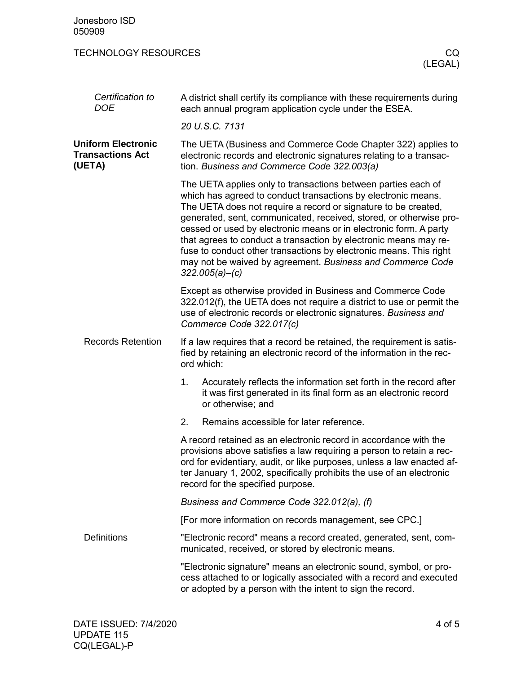| Jonesboro ISD<br>050909                                        |                                                                                                                                                                                                                                                                                                                                                                                                                                                                                                                                                                           |  |
|----------------------------------------------------------------|---------------------------------------------------------------------------------------------------------------------------------------------------------------------------------------------------------------------------------------------------------------------------------------------------------------------------------------------------------------------------------------------------------------------------------------------------------------------------------------------------------------------------------------------------------------------------|--|
| <b>TECHNOLOGY RESOURCES</b>                                    | CQ.<br>(LEGAL)                                                                                                                                                                                                                                                                                                                                                                                                                                                                                                                                                            |  |
| Certification to<br><b>DOE</b>                                 | A district shall certify its compliance with these requirements during<br>each annual program application cycle under the ESEA.                                                                                                                                                                                                                                                                                                                                                                                                                                           |  |
|                                                                | 20 U.S.C. 7131                                                                                                                                                                                                                                                                                                                                                                                                                                                                                                                                                            |  |
| <b>Uniform Electronic</b><br><b>Transactions Act</b><br>(UETA) | The UETA (Business and Commerce Code Chapter 322) applies to<br>electronic records and electronic signatures relating to a transac-<br>tion. Business and Commerce Code 322.003(a)                                                                                                                                                                                                                                                                                                                                                                                        |  |
|                                                                | The UETA applies only to transactions between parties each of<br>which has agreed to conduct transactions by electronic means.<br>The UETA does not require a record or signature to be created,<br>generated, sent, communicated, received, stored, or otherwise pro-<br>cessed or used by electronic means or in electronic form. A party<br>that agrees to conduct a transaction by electronic means may re-<br>fuse to conduct other transactions by electronic means. This right<br>may not be waived by agreement. Business and Commerce Code<br>$322.005(a) - (c)$ |  |
|                                                                | Except as otherwise provided in Business and Commerce Code<br>322.012(f), the UETA does not require a district to use or permit the<br>use of electronic records or electronic signatures. Business and<br>Commerce Code 322.017(c)                                                                                                                                                                                                                                                                                                                                       |  |
| <b>Records Retention</b>                                       | If a law requires that a record be retained, the requirement is satis-<br>fied by retaining an electronic record of the information in the rec-<br>ord which:                                                                                                                                                                                                                                                                                                                                                                                                             |  |
|                                                                | Accurately reflects the information set forth in the record after<br>1.<br>it was first generated in its final form as an electronic record<br>or otherwise; and                                                                                                                                                                                                                                                                                                                                                                                                          |  |
|                                                                | 2.<br>Remains accessible for later reference.                                                                                                                                                                                                                                                                                                                                                                                                                                                                                                                             |  |
|                                                                | A record retained as an electronic record in accordance with the<br>provisions above satisfies a law requiring a person to retain a rec-<br>ord for evidentiary, audit, or like purposes, unless a law enacted af-<br>ter January 1, 2002, specifically prohibits the use of an electronic<br>record for the specified purpose.                                                                                                                                                                                                                                           |  |
|                                                                | Business and Commerce Code 322.012(a), (f)                                                                                                                                                                                                                                                                                                                                                                                                                                                                                                                                |  |
|                                                                | [For more information on records management, see CPC.]                                                                                                                                                                                                                                                                                                                                                                                                                                                                                                                    |  |
| <b>Definitions</b>                                             | "Electronic record" means a record created, generated, sent, com-<br>municated, received, or stored by electronic means.                                                                                                                                                                                                                                                                                                                                                                                                                                                  |  |
|                                                                | "Electronic signature" means an electronic sound, symbol, or pro-<br>cess attached to or logically associated with a record and executed<br>or adopted by a person with the intent to sign the record.                                                                                                                                                                                                                                                                                                                                                                    |  |